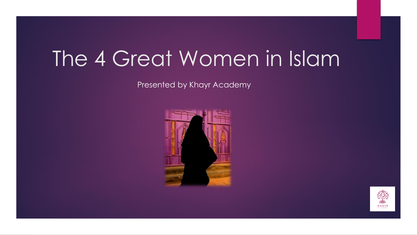# The 4 Great Women in Islam

Presented by Khayr Academy



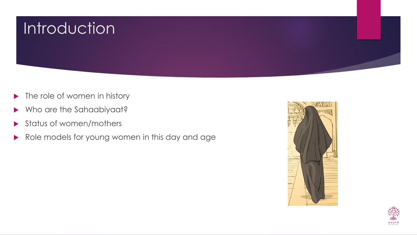

- $\blacktriangleright$  The role of women in history
- Who are the Sahaabiyaat?
- Status of women/mothers
- Role models for young women in this day and age



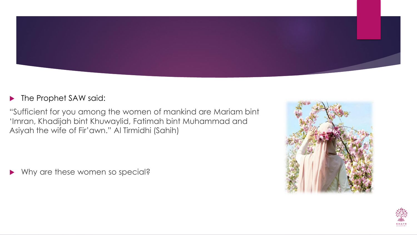

#### **The Prophet SAW said:**

"Sufficient for you among the women of mankind are Mariam bint 'Imran, Khadijah bint Khuwaylid, Fatimah bint Muhammad and Asiyah the wife of Fir'awn." Al Tirmidhi (Sahih)

Why are these women so special?



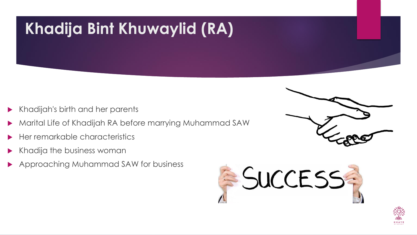## **Khadija Bint Khuwaylid (RA)**

- Khadijah's birth and her parents
- Marital Life of Khadijah RA before marrying Muhammad SAW
- Her remarkable characteristics
- Khadija the business woman
- Approaching Muhammad SAW for business





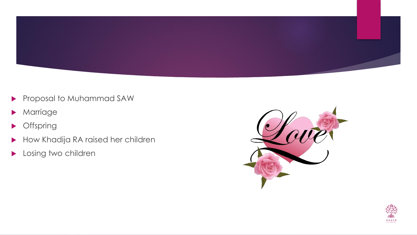

- Proposal to Muhammad SAW
- **Marriage**
- **Offspring**
- How Khadija RA raised her children
- Losing two children



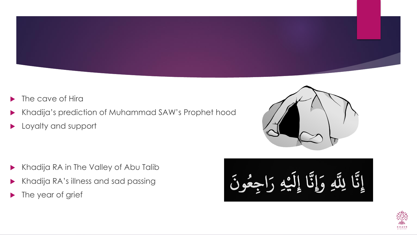

- The cave of Hira
- Khadija's prediction of Muhammad SAW's Prophet hood
- **Loyalty and support**

- Khadija RA in The Valley of Abu Talib
- Khadija RA's illness and sad passing
- Ine year of grief



لِلَّهِ وَإِنَّا إِلَيْهِ رَاجِعُونَ إِيَّا

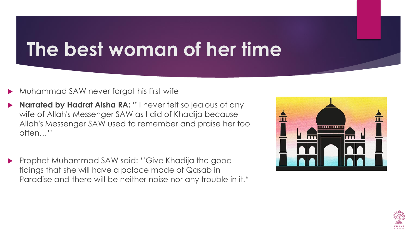## **The best woman of her time**

- Muhammad SAW never forgot his first wife
- **Narrated by Hadrat Aisha RA: ''** I never felt so jealous of any wife of Allah's Messenger SAW as I did of Khadija because Allah's Messenger SAW used to remember and praise her too often…''
- Prophet Muhammad SAW said: ''Give Khadija the good tidings that she will have a palace made of Qasab in Paradise and there will be neither noise nor any trouble in it."